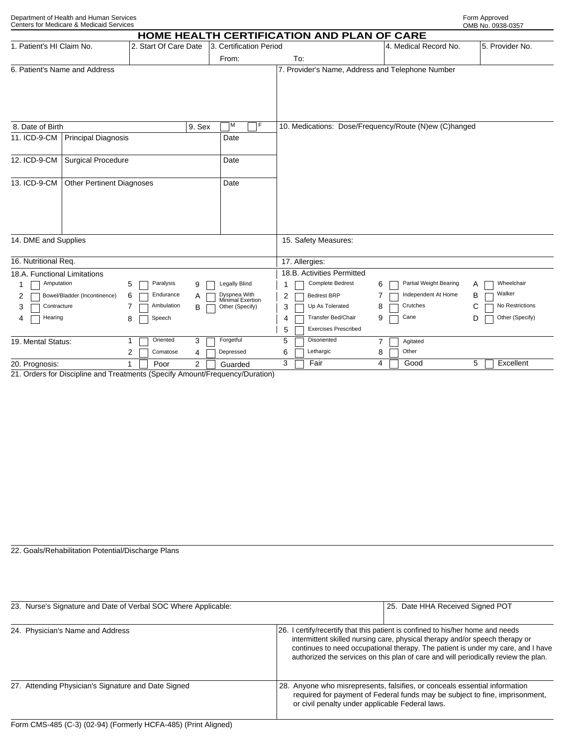| Department of Health and Human Services  | Form Approved    |
|------------------------------------------|------------------|
| Cantare for Madicara & Madicaid Sarvicae | $OMD N_A$ $0020$ |

|                                                                | Centers for Medicare & Medicaid Services |                       |                                                  |                                  |                                                       |                             | OMB No. 0938-0357    |
|----------------------------------------------------------------|------------------------------------------|-----------------------|--------------------------------------------------|----------------------------------|-------------------------------------------------------|-----------------------------|----------------------|
|                                                                |                                          |                       |                                                  |                                  | HOME HEALTH CERTIFICATION AND PLAN OF CARE            |                             |                      |
| 1. Patient's HI Claim No.                                      |                                          | 2. Start Of Care Date |                                                  | 3. Certification Period          |                                                       | 4. Medical Record No.       | 5. Provider No.      |
|                                                                |                                          |                       |                                                  | From:                            | To:                                                   |                             |                      |
| 6. Patient's Name and Address                                  |                                          |                       | 7. Provider's Name, Address and Telephone Number |                                  |                                                       |                             |                      |
|                                                                |                                          |                       |                                                  |                                  |                                                       |                             |                      |
|                                                                |                                          |                       |                                                  |                                  |                                                       |                             |                      |
|                                                                |                                          |                       |                                                  | F<br>ĪМ                          |                                                       |                             |                      |
| 8. Date of Birth                                               |                                          |                       | 9. Sex                                           |                                  | 10. Medications: Dose/Frequency/Route (N)ew (C)hanged |                             |                      |
| 11. ICD-9-CM                                                   | <b>Principal Diagnosis</b>               |                       |                                                  | Date                             |                                                       |                             |                      |
| 12. ICD-9-CM                                                   | <b>Surgical Procedure</b>                |                       |                                                  | Date                             |                                                       |                             |                      |
|                                                                |                                          |                       |                                                  |                                  |                                                       |                             |                      |
| 13. ICD-9-CM                                                   | <b>Other Pertinent Diagnoses</b>         |                       |                                                  | Date                             |                                                       |                             |                      |
|                                                                |                                          |                       |                                                  |                                  |                                                       |                             |                      |
|                                                                |                                          |                       |                                                  |                                  |                                                       |                             |                      |
|                                                                |                                          |                       |                                                  |                                  |                                                       |                             |                      |
| 14. DME and Supplies                                           |                                          |                       | 15. Safety Measures:                             |                                  |                                                       |                             |                      |
|                                                                |                                          |                       |                                                  |                                  |                                                       |                             |                      |
| 16. Nutritional Req.                                           |                                          |                       | 17. Allergies:                                   |                                  |                                                       |                             |                      |
| 18.A. Functional Limitations                                   |                                          |                       |                                                  |                                  | 18.B. Activities Permitted                            |                             |                      |
| Amputation                                                     |                                          | Paralysis<br>5        | 9                                                | <b>Legally Blind</b>             | <b>Complete Bedrest</b>                               | Partial Weight Bearing<br>6 | Wheelchair<br>Α      |
| 6<br>Bowel/Bladder (Incontinence)<br>2                         |                                          | Endurance             | Α                                                | Dyspnea With<br>Minimal Exertion | 2<br><b>Bedrest BRP</b>                               | Independent At Home         | Walker<br>в          |
| Contracture<br>3                                               |                                          | Ambulation<br>7       | B                                                | Other (Specify)                  | Up As Tolerated<br>3                                  | Crutches<br>8               | No Restrictions<br>С |
| Hearing<br>4                                                   |                                          | Speech<br>8           |                                                  |                                  | Transfer Bed/Chair<br>4                               | Cane<br>9                   | Other (Specify)<br>D |
|                                                                |                                          |                       |                                                  |                                  | <b>Exercises Prescribed</b><br>5                      |                             |                      |
| Oriented<br>3<br>19. Mental Status:<br>1<br>2<br>Comatose<br>4 |                                          | Forgetful             | Disoriented<br>5                                 | Agitated<br>$\overline{7}$       |                                                       |                             |                      |
|                                                                |                                          |                       |                                                  | Depressed                        | Lethargic<br>6                                        | Other<br>8                  |                      |
| 20. Prognosis:                                                 |                                          | 1<br>Poor             | $\overline{2}$                                   | Guarded                          | 3<br>Fair                                             | 4<br>Good                   | Excellent<br>5       |

21. Orders for Discipline and Treatments (Specify Amount/Frequency/Duration)

22. Goals/Rehabilitation Potential/Discharge Plans

| 23. Nurse's Signature and Date of Verbal SOC Where Applicable: | 25. Date HHA Received Signed POT                |                                                                                                                                                                                                                                                                                                                                            |  |
|----------------------------------------------------------------|-------------------------------------------------|--------------------------------------------------------------------------------------------------------------------------------------------------------------------------------------------------------------------------------------------------------------------------------------------------------------------------------------------|--|
| 24. Physician's Name and Address                               |                                                 | 26. I certify/recertify that this patient is confined to his/her home and needs<br>intermittent skilled nursing care, physical therapy and/or speech therapy or<br>continues to need occupational therapy. The patient is under my care, and I have<br>authorized the services on this plan of care and will periodically review the plan. |  |
| 27. Attending Physician's Signature and Date Signed            | or civil penalty under applicable Federal laws. | 28. Anyone who misrepresents, falsifies, or conceals essential information<br>required for payment of Federal funds may be subject to fine, imprisonment,                                                                                                                                                                                  |  |